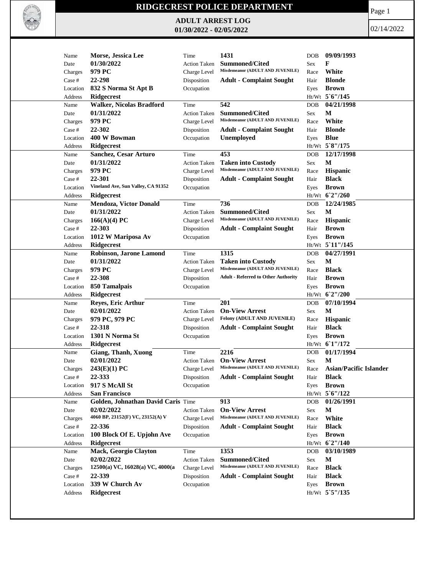

## **RIDGECREST POLICE DEPARTMENT**

**ADULT ARREST LOG 01/30/2022 - 02/05/2022**

Page 1

02/14/2022

| Name      | Morse, Jessica Lee                      | Time                | 1431                                                          | <b>DOB</b>    | 09/09/1993                    |
|-----------|-----------------------------------------|---------------------|---------------------------------------------------------------|---------------|-------------------------------|
| Date      | 01/30/2022                              | <b>Action Taken</b> | <b>Summoned/Cited</b>                                         | Sex           | F                             |
| Charges   | 979 PC                                  | Charge Level        | Misdemeanor (ADULT AND JUVENILE)                              | Race          | White                         |
| Case #    | 22-298                                  | Disposition         | <b>Adult - Complaint Sought</b>                               | Hair          | <b>Blonde</b>                 |
| Location  | 832 S Norma St Apt B                    | Occupation          |                                                               | Eyes          | <b>Brown</b>                  |
| Address   | <b>Ridgecrest</b>                       |                     |                                                               |               | Ht/Wt 5'6"/145                |
| Name      | <b>Walker, Nicolas Bradford</b>         | Time                | 542                                                           | <b>DOB</b>    | 04/21/1998                    |
| Date      | 01/31/2022                              | <b>Action Taken</b> | <b>Summoned/Cited</b>                                         | Sex           | М                             |
| Charges   | 979 PC                                  | Charge Level        | Misdemeanor (ADULT AND JUVENILE)                              | Race          | White                         |
| Case #    | 22-302                                  | Disposition         | <b>Adult - Complaint Sought</b>                               | Hair          | <b>Blonde</b>                 |
| Location  | 400 W Bowman                            | Occupation          | <b>Unemployed</b>                                             | Eyes          | <b>Blue</b>                   |
| Address   | <b>Ridgecrest</b>                       |                     |                                                               |               | Ht/Wt 5`8"/175                |
| Name      | Sanchez, Cesar Arturo                   | Time                | 453                                                           | <b>DOB</b>    | 12/17/1998                    |
| Date      | 01/31/2022                              | <b>Action Taken</b> | <b>Taken into Custody</b>                                     | Sex           | М                             |
| Charges   | 979 PC                                  | Charge Level        | Misdemeanor (ADULT AND JUVENILE)                              | Race          | Hispanic                      |
| Case $\#$ | 22-301                                  | Disposition         | <b>Adult - Complaint Sought</b>                               | Hair          | <b>Black</b>                  |
| Location  | Vineland Ave, Sun Valley, CA 91352      | Occupation          |                                                               | Eyes          | <b>Brown</b>                  |
| Address   | <b>Ridgecrest</b>                       |                     |                                                               |               | Ht/Wt 62"/260                 |
| Name      | <b>Mendoza, Victor Donald</b>           | Time                | 736                                                           | <b>DOB</b>    | 12/24/1985                    |
| Date      | 01/31/2022                              | <b>Action Taken</b> | <b>Summoned/Cited</b>                                         | Sex           | M                             |
| Charges   | 166(A)(4) PC                            | Charge Level        | Misdemeanor (ADULT AND JUVENILE)                              | Race          | Hispanic                      |
| Case #    | 22-303                                  | Disposition         | <b>Adult - Complaint Sought</b>                               | Hair          | <b>Brown</b>                  |
|           | 1012 W Mariposa Av                      |                     |                                                               |               | <b>Brown</b>                  |
| Location  |                                         | Occupation          |                                                               | Eyes          |                               |
| Address   | Ridgecrest                              |                     |                                                               |               | Ht/Wt 5 11"/145               |
| Name      | Robinson, Jarone Lamond                 | Time                | 1315                                                          | <b>DOB</b>    | 04/27/1991                    |
| Date      | 01/31/2022                              | <b>Action Taken</b> | <b>Taken into Custody</b><br>Misdemeanor (ADULT AND JUVENILE) | Sex           | M<br><b>Black</b>             |
| Charges   | 979 PC                                  | Charge Level        | <b>Adult - Referred to Other Authority</b>                    | Race          |                               |
| Case #    | 22-308                                  | Disposition         |                                                               | Hair          | <b>Brown</b>                  |
| Location  | 850 Tamalpais                           | Occupation          |                                                               | Eyes          | <b>Brown</b>                  |
| Address   | Ridgecrest                              |                     |                                                               |               | Ht/Wt 62"/200                 |
| Name      | <b>Reyes, Eric Arthur</b><br>02/01/2022 | Time                | 201<br><b>On-View Arrest</b>                                  | <b>DOB</b>    | 07/10/1994<br>М               |
| Date      |                                         | <b>Action Taken</b> | Felony (ADULT AND JUVENILE)                                   | Sex           |                               |
| Charges   | 979 PC, 979 PC                          | Charge Level        |                                                               | Race          | Hispanic                      |
| Case $\#$ | 22-318                                  | Disposition         | <b>Adult - Complaint Sought</b>                               | Hair          | <b>Black</b>                  |
| Location  | 1301 N Norma St                         | Occupation          |                                                               | Eyes          | <b>Brown</b>                  |
| Address   | <b>Ridgecrest</b>                       |                     |                                                               |               | Ht/Wt 61"/172                 |
| Name      | <b>Giang, Thanh, Xuong</b>              | Time                | 2216                                                          | <b>DOB</b>    | 01/17/1994                    |
| Date      | 02/01/2022                              | <b>Action Taken</b> | <b>On-View Arrest</b>                                         | <b>Sex</b>    | M                             |
| Charges   | 243(E)(1) PC                            | Charge Level        | Misdemeanor (ADULT AND JUVENILE)                              | $\mbox{Race}$ | <b>Asian/Pacific Islander</b> |
| Case #    | 22-333                                  | Disposition         | <b>Adult - Complaint Sought</b>                               | Hair          | <b>Black</b>                  |
| Location  | 917 S McAll St                          | Occupation          |                                                               | Eyes          | <b>Brown</b>                  |
| Address   | <b>San Francisco</b>                    |                     |                                                               |               | Ht/Wt 5'6"/122                |
| Name      | Golden, Johnathan David Caris Time      |                     | 913                                                           | <b>DOB</b>    | 01/26/1991                    |
| Date      | 02/02/2022                              | <b>Action Taken</b> | <b>On-View Arrest</b>                                         | Sex           | M                             |
| Charges   | 4060 BP, 23152(F) VC, 23152(A) V        | Charge Level        | Misdemeanor (ADULT AND JUVENILE)                              | Race          | White                         |
| Case #    | 22-336                                  | Disposition         | <b>Adult - Complaint Sought</b>                               | Hair          | <b>Black</b>                  |
| Location  | 100 Block Of E. Upjohn Ave              | Occupation          |                                                               | Eyes          | <b>Brown</b>                  |
| Address   | Ridgecrest                              |                     |                                                               |               | Ht/Wt 6'2"/140                |
| Name      | Mack, Georgio Clayton                   | Time                | 1353                                                          | <b>DOB</b>    | 03/10/1989                    |
| Date      | 02/02/2022                              | <b>Action Taken</b> | Summoned/Cited                                                | Sex           | М                             |
| Charges   | 12500(a) VC, 16028(a) VC, 4000(a        | Charge Level        | Misdemeanor (ADULT AND JUVENILE)                              | Race          | <b>Black</b>                  |
| Case #    | 22-339                                  | Disposition         | <b>Adult - Complaint Sought</b>                               | Hair          | <b>Black</b>                  |
| Location  | 339 W Church Av                         | Occupation          |                                                               | Eyes          | <b>Brown</b>                  |
| Address   | Ridgecrest                              |                     |                                                               |               | Ht/Wt 5`5"/135                |
|           |                                         |                     |                                                               |               |                               |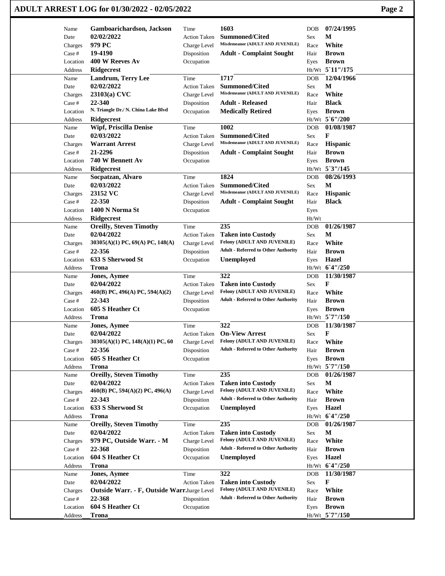| ADULT ARREST LOG for 01/30/2022 - 02/05/2022 | Page 2 |
|----------------------------------------------|--------|
|----------------------------------------------|--------|

| Name         | Gamboarichardson, Jackson                   | Time                | 1603                                       | DOB        | 07/24/1995                     |
|--------------|---------------------------------------------|---------------------|--------------------------------------------|------------|--------------------------------|
| Date         | 02/02/2022                                  | <b>Action Taken</b> | <b>Summoned/Cited</b>                      | Sex        | м                              |
| Charges      | 979 PC                                      | Charge Level        | Misdemeanor (ADULT AND JUVENILE)           | Race       | White                          |
| Case #       | 19-4190                                     | Disposition         | <b>Adult - Complaint Sought</b>            | Hair       | <b>Brown</b>                   |
| Location     | 400 W Reeves Av                             | Occupation          |                                            | Eyes       | <b>Brown</b>                   |
| Address      | Ridgecrest                                  |                     |                                            |            | Ht/Wt 5 11"/175                |
| Name         | Landrum, Terry Lee                          | Time                | 1717                                       | <b>DOB</b> | 12/04/1966                     |
| Date         | 02/02/2022                                  | <b>Action Taken</b> | <b>Summoned/Cited</b>                      | Sex        | М                              |
| Charges      | 23103(a) CVC                                | Charge Level        | Misdemeanor (ADULT AND JUVENILE)           | Race       | White                          |
| Case #       | 22-340                                      | Disposition         | <b>Adult - Released</b>                    | Hair       | <b>Black</b>                   |
| Location     | N. Triangle Dr./ N. China Lake Blvd         | Occupation          | <b>Medically Retired</b>                   | Eyes       | <b>Brown</b>                   |
| Address      | <b>Ridgecrest</b>                           |                     |                                            |            | Ht/Wt 5'6"/200                 |
| Name         | <b>Wipf, Priscilla Denise</b>               | Time                | 1002                                       | <b>DOB</b> | 01/08/1987                     |
| Date         | 02/03/2022                                  | <b>Action Taken</b> | <b>Summoned/Cited</b>                      | Sex        | F                              |
| Charges      | <b>Warrant Arrest</b>                       | Charge Level        | Misdemeanor (ADULT AND JUVENILE)           | Race       | <b>Hispanic</b>                |
| Case #       | 21-2296                                     | Disposition         | <b>Adult - Complaint Sought</b>            | Hair       | <b>Brown</b>                   |
| Location     | 740 W Bennett Av                            | Occupation          |                                            | Eyes       | <b>Brown</b>                   |
| Address      | Ridgecrest                                  |                     |                                            |            | Ht/Wt 5'3"/145                 |
| Name         | Socpatzan, Alvaro                           | Time                | 1824                                       | <b>DOB</b> | 08/26/1993                     |
| Date         | 02/03/2022                                  | <b>Action Taken</b> | <b>Summoned/Cited</b>                      | Sex        | M                              |
| Charges      | 23152 VC                                    | Charge Level        | Misdemeanor (ADULT AND JUVENILE)           | Race       | Hispanic                       |
| Case #       | 22-350                                      | Disposition         | <b>Adult - Complaint Sought</b>            | Hair       | <b>Black</b>                   |
| Location     | 1400 N Norma St                             | Occupation          |                                            | Eyes       |                                |
| Address      | Ridgecrest                                  |                     |                                            | Ht/Wt      |                                |
| Name         | <b>Oreilly, Steven Timothy</b>              | Time                | 235                                        | <b>DOB</b> | 01/26/1987                     |
| Date         | 02/04/2022                                  | <b>Action Taken</b> | <b>Taken into Custody</b>                  | Sex        | M                              |
| Charges      | 30305(A)(1) PC, 69(A) PC, 148(A)            | Charge Level        | Felony (ADULT AND JUVENILE)                | Race       | White                          |
| Case #       | 22-356                                      | Disposition         | <b>Adult - Referred to Other Authority</b> | Hair       | <b>Brown</b>                   |
| Location     | 633 S Sherwood St                           | Occupation          | Unemployed                                 | Eyes       | <b>Hazel</b><br>Ht/Wt 6'4"/250 |
| Address      | Trona                                       | Time                | 322                                        | <b>DOB</b> | 11/30/1987                     |
| Name<br>Date | <b>Jones, Aymee</b><br>02/04/2022           | <b>Action Taken</b> | <b>Taken into Custody</b>                  | Sex        | F                              |
| Charges      | 460(B) PC, 496(A) PC, 594(A)(2)             | Charge Level        | Felony (ADULT AND JUVENILE)                | Race       | White                          |
| Case #       | 22-343                                      | Disposition         | <b>Adult - Referred to Other Authority</b> | Hair       | <b>Brown</b>                   |
| Location     | 605 S Heather Ct                            | Occupation          |                                            | Eyes       | <b>Brown</b>                   |
| Address      | <b>Trona</b>                                |                     |                                            |            | $Ht/Wt$ 5 7"/150               |
| Name         | <b>Jones, Aymee</b>                         | Time                | 322                                        | DOB        | 11/30/1987                     |
| Date         | 02/04/2022                                  | <b>Action Taken</b> | <b>On-View Arrest</b>                      | Sex        | F                              |
| Charges      | 30305(A)(1) PC, 148(A)(1) PC, 60            | Charge Level        | <b>Felony (ADULT AND JUVENILE)</b>         | Race       | White                          |
| Case #       | 22-356                                      | Disposition         | <b>Adult - Referred to Other Authority</b> | Hair       | <b>Brown</b>                   |
| Location     | 605 S Heather Ct                            | Occupation          |                                            | Eyes       | <b>Brown</b>                   |
| Address      | <b>Trona</b>                                |                     |                                            |            | $Ht/Wt$ 5 $7''/150$            |
| Name         | <b>Oreilly, Steven Timothy</b>              | Time                | 235                                        | <b>DOB</b> | 01/26/1987                     |
| Date         | 02/04/2022                                  | <b>Action Taken</b> | <b>Taken into Custody</b>                  | Sex        | $\mathbf M$                    |
| Charges      | 460(B) PC, 594(A)(2) PC, 496(A)             | Charge Level        | Felony (ADULT AND JUVENILE)                | Race       | White                          |
| Case #       | 22-343                                      | Disposition         | <b>Adult - Referred to Other Authority</b> | Hair       | <b>Brown</b>                   |
| Location     | 633 S Sherwood St                           | Occupation          | Unemployed                                 | Eyes       | <b>Hazel</b>                   |
| Address      | <b>Trona</b>                                |                     |                                            |            | Ht/Wt 6'4"/250                 |
| Name         | <b>Oreilly, Steven Timothy</b>              | Time                | 235                                        | DOB        | 01/26/1987                     |
| Date         | 02/04/2022                                  | Action Taken        | <b>Taken into Custody</b>                  | Sex        | M                              |
| Charges      | 979 PC, Outside Warr. - M                   | Charge Level        | Felony (ADULT AND JUVENILE)                | Race       | White                          |
| Case #       | 22-368                                      | Disposition         | <b>Adult - Referred to Other Authority</b> | Hair       | <b>Brown</b>                   |
| Location     | 604 S Heather Ct                            | Occupation          | <b>Unemployed</b>                          | Eyes       | Hazel                          |
| Address      | <b>Trona</b>                                |                     |                                            |            | Ht/Wt 6'4"/250                 |
| Name         | <b>Jones, Aymee</b>                         | Time                | 322                                        | DOB        | 11/30/1987                     |
| Date         | 02/04/2022                                  | <b>Action Taken</b> | <b>Taken into Custody</b>                  | Sex        | F                              |
| Charges      | Outside Warr. - F, Outside Warr.harge Level |                     | Felony (ADULT AND JUVENILE)                | Race       | White                          |
| Case #       | 22-368                                      | Disposition         | <b>Adult - Referred to Other Authority</b> | Hair       | <b>Brown</b>                   |
| Location     | 604 S Heather Ct                            | Occupation          |                                            | Eyes       | <b>Brown</b>                   |
| Address      | <b>Trona</b>                                |                     |                                            |            | Ht/Wt_5`7"/150                 |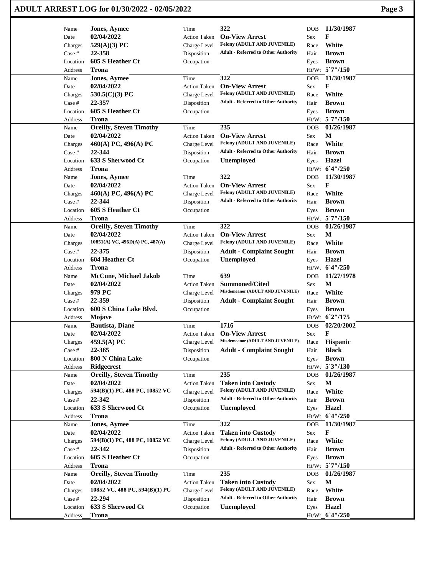| Name              | <b>Jones, Aymee</b>                 | Time                | 322                                                | <b>DOB</b> | 11/30/1987                     |
|-------------------|-------------------------------------|---------------------|----------------------------------------------------|------------|--------------------------------|
| Date              | 02/04/2022                          | <b>Action Taken</b> | <b>On-View Arrest</b>                              | Sex        | F                              |
| Charges           | 529(A)(3) PC                        | Charge Level        | Felony (ADULT AND JUVENILE)                        | Race       | White                          |
| Case #            | 22-358                              | Disposition         | <b>Adult - Referred to Other Authority</b>         | Hair       | <b>Brown</b>                   |
| Location          | 605 S Heather Ct                    | Occupation          |                                                    | Eyes       | <b>Brown</b>                   |
| Address           | <b>Trona</b>                        |                     |                                                    |            | $Ht/Wt$ 5 7"/150               |
| Name              | <b>Jones, Aymee</b>                 | Time                | 322                                                | <b>DOB</b> | 11/30/1987                     |
| Date              | 02/04/2022                          | <b>Action Taken</b> | <b>On-View Arrest</b>                              | Sex        | F                              |
| Charges           | 530.5(C)(3) PC                      | Charge Level        | Felony (ADULT AND JUVENILE)                        | Race       | White                          |
| Case #            | 22-357                              | Disposition         | <b>Adult - Referred to Other Authority</b>         | Hair       | <b>Brown</b>                   |
| Location          | 605 S Heather Ct                    | Occupation          |                                                    | Eyes       | <b>Brown</b>                   |
| Address           | Trona                               |                     |                                                    |            | Ht/Wt 5`7"/150                 |
| Name              | <b>Oreilly, Steven Timothy</b>      | Time                | 235                                                | <b>DOB</b> | 01/26/1987                     |
| Date              | 02/04/2022                          | <b>Action Taken</b> | <b>On-View Arrest</b>                              | Sex        | M                              |
| Charges           | 460(A) PC, 496(A) PC                | Charge Level        | Felony (ADULT AND JUVENILE)                        | Race       | White                          |
| Case #            | 22-344                              | Disposition         | <b>Adult - Referred to Other Authority</b>         | Hair       | <b>Brown</b>                   |
| Location          | 633 S Sherwood Ct                   | Occupation          | <b>Unemployed</b>                                  | Eyes       | <b>Hazel</b>                   |
| Address           | Trona                               |                     |                                                    |            | Ht/Wt 6'4"/250                 |
| Name              | <b>Jones, Aymee</b>                 | Time                | 322                                                | <b>DOB</b> | 11/30/1987                     |
| Date              | 02/04/2022                          | <b>Action Taken</b> | <b>On-View Arrest</b>                              | Sex        | F                              |
| Charges           | 460(A) PC, 496(A) PC                | Charge Level        | Felony (ADULT AND JUVENILE)                        | Race       | White                          |
| Case #            | 22-344                              | Disposition         | <b>Adult - Referred to Other Authority</b>         | Hair       | <b>Brown</b>                   |
| Location          | 605 S Heather Ct                    | Occupation          |                                                    | Eyes       | <b>Brown</b>                   |
| Address           | Trona                               |                     |                                                    |            | Ht/Wt 5`7"/150                 |
| Name              | <b>Oreilly, Steven Timothy</b>      | Time                | 322                                                | <b>DOB</b> | 01/26/1987                     |
| Date              | 02/04/2022                          | <b>Action Taken</b> | <b>On-View Arrest</b>                              | Sex        | M                              |
|                   | 10851(A) VC, 496D(A) PC, 487(A)     |                     | Felony (ADULT AND JUVENILE)                        | Race       | White                          |
| Charges<br>Case # | 22-375                              | Charge Level        | <b>Adult - Complaint Sought</b>                    |            | <b>Brown</b>                   |
|                   | 604 Heather Ct                      | Disposition         | Unemployed                                         | Hair       | <b>Hazel</b>                   |
| Location          | <b>Trona</b>                        | Occupation          |                                                    | Eyes       | Ht/Wt 6'4"/250                 |
| Address           |                                     |                     | 639                                                |            |                                |
| Name              | McCune, Michael Jakob<br>02/04/2022 | Time                |                                                    | <b>DOB</b> | 11/27/1978<br>M                |
| Date              |                                     | <b>Action Taken</b> | Summoned/Cited<br>Misdemeanor (ADULT AND JUVENILE) | Sex        |                                |
| Charges           | 979 PC                              | Charge Level        |                                                    | Race       | White                          |
| Case #            | 22-359                              | Disposition         | <b>Adult - Complaint Sought</b>                    | Hair       | <b>Brown</b>                   |
| Location          | 600 S China Lake Blvd.              | Occupation          |                                                    | Eyes       | <b>Brown</b>                   |
| Address           | Mojave                              |                     |                                                    |            | Ht/Wt 62"/175                  |
| Name              | <b>Bautista, Diane</b>              | Time                | 1716                                               | <b>DOB</b> | 02/20/2002                     |
| Date              | 02/04/2022                          | Action Taken        | <b>On-View Arrest</b>                              | Sex        | F                              |
| Charges           | 459.5(A) PC                         | Charge Level        | Misdemeanor (ADULT AND JUVENILE)                   | Race       | Hispanic                       |
| Case #            | 22-365                              | Disposition         | <b>Adult - Complaint Sought</b>                    | Hair       | <b>Black</b>                   |
| Location          | 800 N China Lake                    | Occupation          |                                                    | Eyes       | <b>Brown</b>                   |
| Address           | <b>Ridgecrest</b>                   |                     |                                                    |            | Ht/Wt 5'3"/130                 |
| Name              | <b>Oreilly, Steven Timothy</b>      | Time                | 235                                                | <b>DOB</b> | 01/26/1987                     |
| Date              | 02/04/2022                          | Action Taken        | <b>Taken into Custody</b>                          | Sex        | M                              |
| Charges           | 594(B)(1) PC, 488 PC, 10852 VC      | Charge Level        | Felony (ADULT AND JUVENILE)                        | Race       | White                          |
| Case #            | 22-342                              | Disposition         | <b>Adult - Referred to Other Authority</b>         | Hair       | <b>Brown</b>                   |
| Location          | 633 S Sherwood Ct                   | Occupation          | <b>Unemployed</b>                                  | Eyes       | <b>Hazel</b>                   |
| Address           | <b>Trona</b>                        |                     |                                                    |            | Ht/Wt 6'4"/250                 |
| Name              | <b>Jones, Aymee</b>                 | Time                | 322                                                | <b>DOB</b> | 11/30/1987                     |
| Date              | 02/04/2022                          | <b>Action Taken</b> | <b>Taken into Custody</b>                          | Sex        | F                              |
| Charges           | 594(B)(1) PC, 488 PC, 10852 VC      | Charge Level        | Felony (ADULT AND JUVENILE)                        | Race       | White                          |
| Case #            | 22-342                              | Disposition         | <b>Adult - Referred to Other Authority</b>         | Hair       | <b>Brown</b>                   |
| Location          | 605 S Heather Ct                    | Occupation          |                                                    | Eyes       | <b>Brown</b>                   |
| Address           | <b>Trona</b>                        |                     |                                                    |            | Ht/Wt 5`7"/150                 |
| Name              | <b>Oreilly, Steven Timothy</b>      | Time                | 235                                                | <b>DOB</b> | 01/26/1987                     |
| Date              | 02/04/2022                          | Action Taken        | <b>Taken into Custody</b>                          | Sex        | $\mathbf M$                    |
|                   | 10852 VC, 488 PC, 594(B)(1) PC      | Charge Level        | Felony (ADULT AND JUVENILE)                        | Race       | White                          |
| Charges           | 22-294                              | Disposition         | <b>Adult - Referred to Other Authority</b>         |            | <b>Brown</b>                   |
| Case #            |                                     |                     |                                                    | Hair       |                                |
| Location          | 633 S Sherwood Ct                   | Occupation          | <b>Unemployed</b>                                  | Eyes       | <b>Hazel</b><br>Ht/Wt 6'4"/250 |